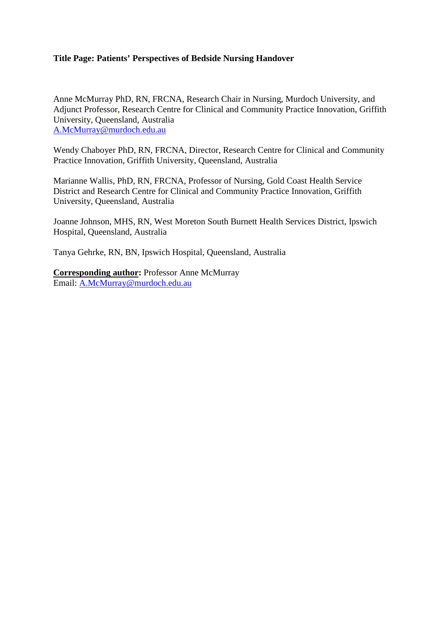# **Title Page: Patients' Perspectives of Bedside Nursing Handover**

Anne McMurray PhD, RN, FRCNA, Research Chair in Nursing, Murdoch University, and Adjunct Professor, Research Centre for Clinical and Community Practice Innovation, Griffith University, Queensland, Australia [A.McMurray@murdoch.edu.au](mailto:A.McMurray@murdoch.edu.au)

Wendy Chaboyer PhD, RN, FRCNA, Director, Research Centre for Clinical and Community Practice Innovation, Griffith University, Queensland, Australia

Marianne Wallis, PhD, RN, FRCNA, Professor of Nursing, Gold Coast Health Service District and Research Centre for Clinical and Community Practice Innovation, Griffith University, Queensland, Australia

Joanne Johnson, MHS, RN, West Moreton South Burnett Health Services District, Ipswich Hospital, Queensland, Australia

Tanya Gehrke, RN, BN, Ipswich Hospital, Queensland, Australia

**Corresponding author:** Professor Anne McMurray Email: [A.McMurray@murdoch.edu.au](mailto:A.McMurray@murdoch.edu.au)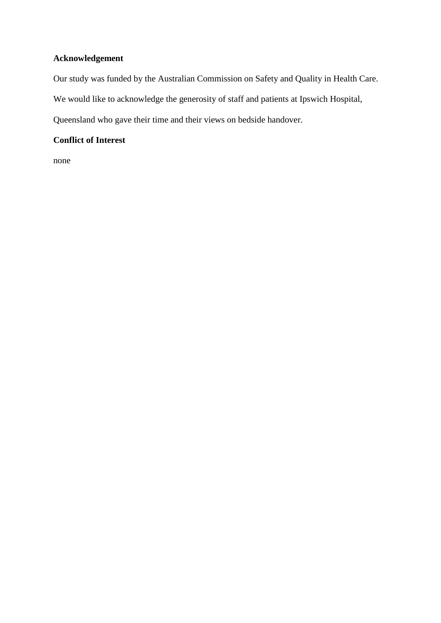# **Acknowledgement**

Our study was funded by the Australian Commission on Safety and Quality in Health Care.

We would like to acknowledge the generosity of staff and patients at Ipswich Hospital,

Queensland who gave their time and their views on bedside handover.

# **Conflict of Interest**

none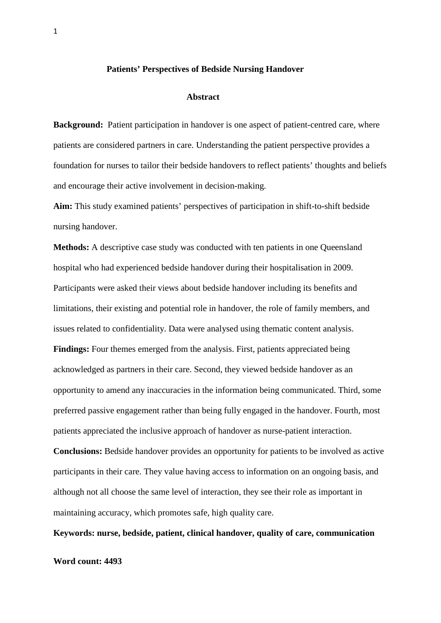## **Patients' Perspectives of Bedside Nursing Handover**

#### **Abstract**

**Background:** Patient participation in handover is one aspect of patient-centred care, where patients are considered partners in care. Understanding the patient perspective provides a foundation for nurses to tailor their bedside handovers to reflect patients' thoughts and beliefs and encourage their active involvement in decision-making.

**Aim:** This study examined patients' perspectives of participation in shift-to-shift bedside nursing handover.

**Methods:** A descriptive case study was conducted with ten patients in one Queensland hospital who had experienced bedside handover during their hospitalisation in 2009. Participants were asked their views about bedside handover including its benefits and limitations, their existing and potential role in handover, the role of family members, and issues related to confidentiality. Data were analysed using thematic content analysis. **Findings:** Four themes emerged from the analysis. First, patients appreciated being acknowledged as partners in their care. Second, they viewed bedside handover as an opportunity to amend any inaccuracies in the information being communicated. Third, some preferred passive engagement rather than being fully engaged in the handover. Fourth, most patients appreciated the inclusive approach of handover as nurse-patient interaction.

**Conclusions:** Bedside handover provides an opportunity for patients to be involved as active participants in their care. They value having access to information on an ongoing basis, and although not all choose the same level of interaction, they see their role as important in maintaining accuracy, which promotes safe, high quality care.

**Keywords: nurse, bedside, patient, clinical handover, quality of care, communication**

#### **Word count: 4493**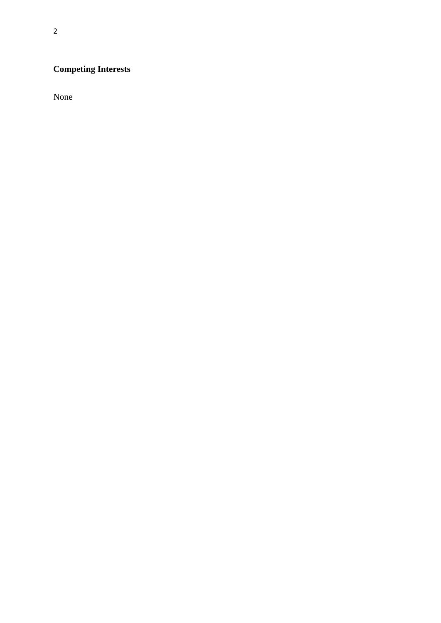# **Competing Interests**

None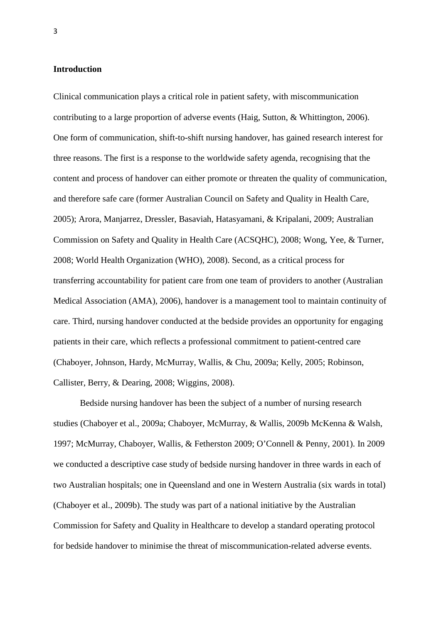# **Introduction**

Clinical communication plays a critical role in patient safety, with miscommunication contributing to a large proportion of adverse events (Haig, Sutton, & Whittington, 2006). One form of communication, shift-to-shift nursing handover, has gained research interest for three reasons. The first is a response to the worldwide safety agenda, recognising that the content and process of handover can either promote or threaten the quality of communication, and therefore safe care (former Australian Council on Safety and Quality in Health Care, 2005); Arora, Manjarrez, Dressler, Basaviah, Hatasyamani, & Kripalani, 2009; Australian Commission on Safety and Quality in Health Care (ACSQHC), 2008; Wong, Yee, & Turner, 2008; World Health Organization (WHO), 2008). Second, as a critical process for transferring accountability for patient care from one team of providers to another (Australian Medical Association (AMA), 2006), handover is a management tool to maintain continuity of care. Third, nursing handover conducted at the bedside provides an opportunity for engaging patients in their care, which reflects a professional commitment to patient-centred care (Chaboyer, Johnson, Hardy, McMurray, Wallis, & Chu, 2009a; Kelly, 2005; Robinson, Callister, Berry, & Dearing, 2008; Wiggins, 2008).

Bedside nursing handover has been the subject of a number of nursing research studies (Chaboyer et al., 2009a; Chaboyer, McMurray, & Wallis, 2009b McKenna & Walsh, 1997; McMurray, Chaboyer, Wallis, & Fetherston 2009; O'Connell & Penny, 2001). In 2009 we conducted a descriptive case study of bedside nursing handover in three wards in each of two Australian hospitals; one in Queensland and one in Western Australia (six wards in total) (Chaboyer et al., 2009b). The study was part of a national initiative by the Australian Commission for Safety and Quality in Healthcare to develop a standard operating protocol for bedside handover to minimise the threat of miscommunication-related adverse events.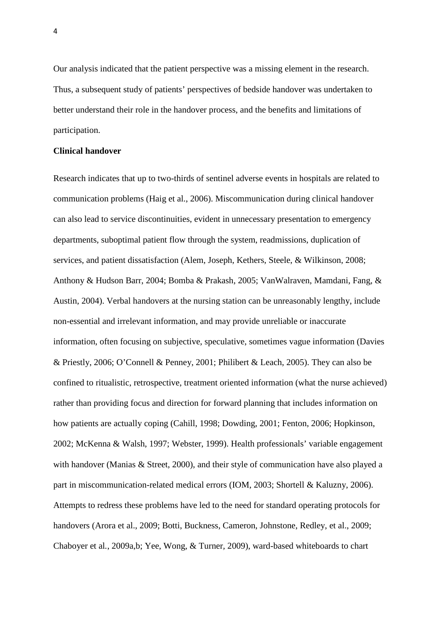Our analysis indicated that the patient perspective was a missing element in the research. Thus, a subsequent study of patients' perspectives of bedside handover was undertaken to better understand their role in the handover process, and the benefits and limitations of participation.

## **Clinical handover**

Research indicates that up to two-thirds of sentinel adverse events in hospitals are related to communication problems (Haig et al., 2006). Miscommunication during clinical handover can also lead to service discontinuities, evident in unnecessary presentation to emergency departments, suboptimal patient flow through the system, readmissions, duplication of services, and patient dissatisfaction (Alem, Joseph, Kethers, Steele, & Wilkinson, 2008; Anthony & Hudson Barr, 2004; Bomba & Prakash, 2005; VanWalraven, Mamdani, Fang, & Austin, 2004). Verbal handovers at the nursing station can be unreasonably lengthy, include non-essential and irrelevant information, and may provide unreliable or inaccurate information, often focusing on subjective, speculative, sometimes vague information (Davies & Priestly, 2006; O'Connell & Penney, 2001; Philibert & Leach, 2005). They can also be confined to ritualistic, retrospective, treatment oriented information (what the nurse achieved) rather than providing focus and direction for forward planning that includes information on how patients are actually coping (Cahill, 1998; Dowding, 2001; Fenton, 2006; Hopkinson, 2002; McKenna & Walsh, 1997; Webster, 1999). Health professionals' variable engagement with handover (Manias & Street, 2000), and their style of communication have also played a part in miscommunication-related medical errors (IOM, 2003; Shortell & Kaluzny, 2006). Attempts to redress these problems have led to the need for standard operating protocols for handovers (Arora et al., 2009; Botti, Buckness, Cameron, Johnstone, Redley, et al., 2009; Chaboyer et al*.*, 2009a,b; Yee, Wong, & Turner*,* 2009), ward-based whiteboards to chart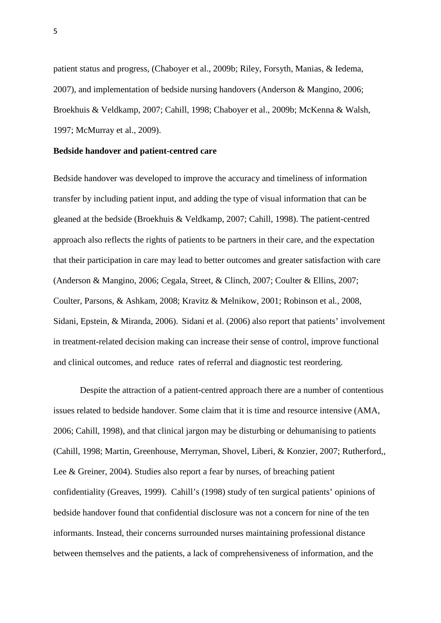patient status and progress, (Chaboyer et al., 2009b; Riley, Forsyth, Manias, & Iedema, 2007), and implementation of bedside nursing handovers (Anderson & Mangino, 2006; Broekhuis & Veldkamp, 2007; Cahill, 1998; Chaboyer et al., 2009b; McKenna & Walsh, 1997; McMurray et al., 2009).

# **Bedside handover and patient-centred care**

Bedside handover was developed to improve the accuracy and timeliness of information transfer by including patient input, and adding the type of visual information that can be gleaned at the bedside (Broekhuis & Veldkamp, 2007; Cahill, 1998). The patient-centred approach also reflects the rights of patients to be partners in their care, and the expectation that their participation in care may lead to better outcomes and greater satisfaction with care (Anderson & Mangino, 2006; Cegala, Street, & Clinch, 2007; Coulter & Ellins, 2007; Coulter, Parsons, & Ashkam, 2008; Kravitz & Melnikow, 2001; Robinson et al*.,* 2008, Sidani, Epstein, & Miranda, 2006). Sidani et al. (2006) also report that patients' involvement in treatment-related decision making can increase their sense of control, improve functional and clinical outcomes, and reduce rates of referral and diagnostic test reordering.

Despite the attraction of a patient-centred approach there are a number of contentious issues related to bedside handover. Some claim that it is time and resource intensive (AMA, 2006; Cahill, 1998), and that clinical jargon may be disturbing or dehumanising to patients (Cahill, 1998; Martin, Greenhouse, Merryman, Shovel, Liberi, & Konzier, 2007; Rutherford,, Lee & Greiner, 2004). Studies also report a fear by nurses, of breaching patient confidentiality (Greaves, 1999). Cahill's (1998) study of ten surgical patients' opinions of bedside handover found that confidential disclosure was not a concern for nine of the ten informants. Instead, their concerns surrounded nurses maintaining professional distance between themselves and the patients, a lack of comprehensiveness of information, and the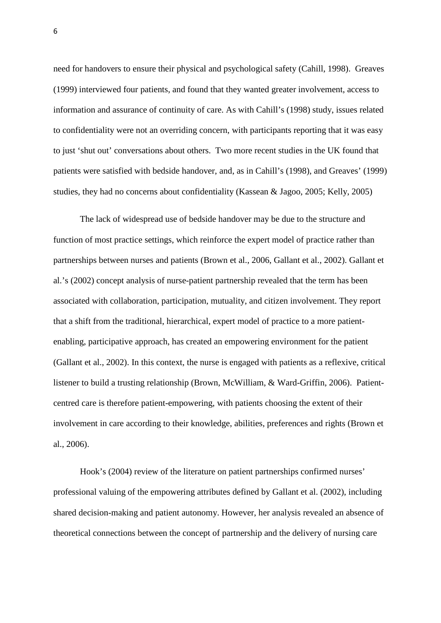need for handovers to ensure their physical and psychological safety (Cahill, 1998). Greaves (1999) interviewed four patients, and found that they wanted greater involvement, access to information and assurance of continuity of care. As with Cahill's (1998) study, issues related to confidentiality were not an overriding concern, with participants reporting that it was easy to just 'shut out' conversations about others. Two more recent studies in the UK found that patients were satisfied with bedside handover, and, as in Cahill's (1998), and Greaves' (1999) studies, they had no concerns about confidentiality (Kassean & Jagoo, 2005; Kelly, 2005)

The lack of widespread use of bedside handover may be due to the structure and function of most practice settings, which reinforce the expert model of practice rather than partnerships between nurses and patients (Brown et al., 2006, Gallant et al., 2002). Gallant et al.'s (2002) concept analysis of nurse-patient partnership revealed that the term has been associated with collaboration, participation, mutuality, and citizen involvement. They report that a shift from the traditional, hierarchical, expert model of practice to a more patientenabling, participative approach, has created an empowering environment for the patient (Gallant et al., 2002). In this context, the nurse is engaged with patients as a reflexive, critical listener to build a trusting relationship (Brown, McWilliam, & Ward-Griffin, 2006). Patientcentred care is therefore patient-empowering, with patients choosing the extent of their involvement in care according to their knowledge, abilities, preferences and rights (Brown et al., 2006).

Hook's (2004) review of the literature on patient partnerships confirmed nurses' professional valuing of the empowering attributes defined by Gallant et al. (2002), including shared decision-making and patient autonomy. However, her analysis revealed an absence of theoretical connections between the concept of partnership and the delivery of nursing care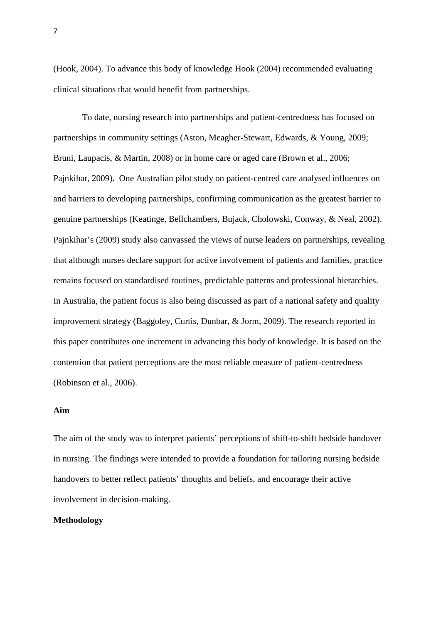(Hook, 2004). To advance this body of knowledge Hook (2004) recommended evaluating clinical situations that would benefit from partnerships.

To date, nursing research into partnerships and patient-centredness has focused on partnerships in community settings (Aston, Meagher-Stewart, Edwards, & Young, 2009; Bruni, Laupacis, & Martin, 2008) or in home care or aged care (Brown et al., 2006; Pajnkihar, 2009). One Australian pilot study on patient-centred care analysed influences on and barriers to developing partnerships, confirming communication as the greatest barrier to genuine partnerships (Keatinge, Bellchambers, Bujack, Cholowski, Conway, & Neal, 2002). Pajnkihar's (2009) study also canvassed the views of nurse leaders on partnerships, revealing that although nurses declare support for active involvement of patients and families, practice remains focused on standardised routines, predictable patterns and professional hierarchies. In Australia, the patient focus is also being discussed as part of a national safety and quality improvement strategy (Baggoley, Curtis, Dunbar, & Jorm, 2009). The research reported in this paper contributes one increment in advancing this body of knowledge. It is based on the contention that patient perceptions are the most reliable measure of patient-centredness (Robinson et al*.*, 2006).

## **Aim**

The aim of the study was to interpret patients' perceptions of shift-to-shift bedside handover in nursing. The findings were intended to provide a foundation for tailoring nursing bedside handovers to better reflect patients' thoughts and beliefs, and encourage their active involvement in decision-making.

# **Methodology**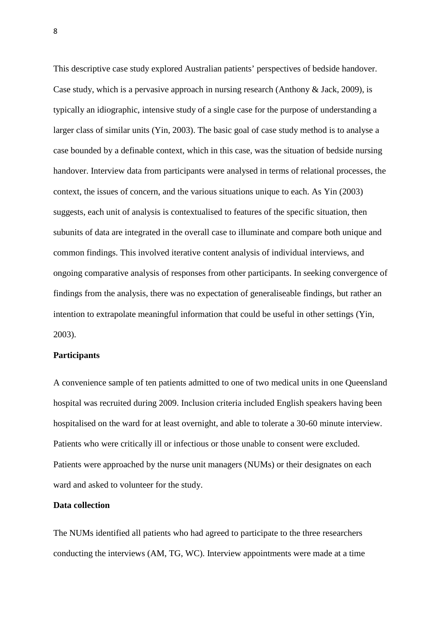This descriptive case study explored Australian patients' perspectives of bedside handover. Case study, which is a pervasive approach in nursing research (Anthony & Jack, 2009), is typically an idiographic, intensive study of a single case for the purpose of understanding a larger class of similar units (Yin, 2003). The basic goal of case study method is to analyse a case bounded by a definable context, which in this case, was the situation of bedside nursing handover. Interview data from participants were analysed in terms of relational processes, the context, the issues of concern, and the various situations unique to each. As Yin (2003) suggests, each unit of analysis is contextualised to features of the specific situation, then subunits of data are integrated in the overall case to illuminate and compare both unique and common findings. This involved iterative content analysis of individual interviews, and ongoing comparative analysis of responses from other participants. In seeking convergence of findings from the analysis, there was no expectation of generaliseable findings, but rather an intention to extrapolate meaningful information that could be useful in other settings (Yin, 2003).

#### **Participants**

A convenience sample of ten patients admitted to one of two medical units in one Queensland hospital was recruited during 2009. Inclusion criteria included English speakers having been hospitalised on the ward for at least overnight, and able to tolerate a 30-60 minute interview. Patients who were critically ill or infectious or those unable to consent were excluded. Patients were approached by the nurse unit managers (NUMs) or their designates on each ward and asked to volunteer for the study.

#### **Data collection**

The NUMs identified all patients who had agreed to participate to the three researchers conducting the interviews (AM, TG, WC). Interview appointments were made at a time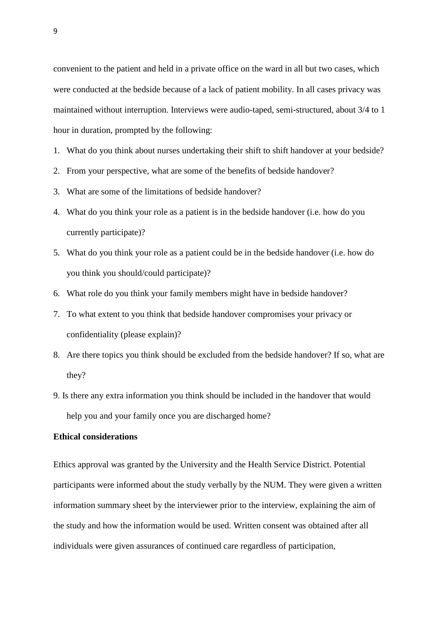convenient to the patient and held in a private office on the ward in all but two cases, which were conducted at the bedside because of a lack of patient mobility. In all cases privacy was maintained without interruption. Interviews were audio-taped, semi-structured, about 3/4 to 1 hour in duration, prompted by the following:

- 1. What do you think about nurses undertaking their shift to shift handover at your bedside?
- 2. From your perspective, what are some of the benefits of bedside handover?
- 3. What are some of the limitations of bedside handover?
- 4. What do you think your role as a patient is in the bedside handover (i.e. how do you currently participate)?
- 5. What do you think your role as a patient could be in the bedside handover (i.e. how do you think you should/could participate)?
- 6. What role do you think your family members might have in bedside handover?
- 7. To what extent to you think that bedside handover compromises your privacy or confidentiality (please explain)?
- 8. Are there topics you think should be excluded from the bedside handover? If so, what are they?
- 9. Is there any extra information you think should be included in the handover that would help you and your family once you are discharged home?

# **Ethical considerations**

Ethics approval was granted by the University and the Health Service District. Potential participants were informed about the study verbally by the NUM. They were given a written information summary sheet by the interviewer prior to the interview, explaining the aim of the study and how the information would be used. Written consent was obtained after all individuals were given assurances of continued care regardless of participation,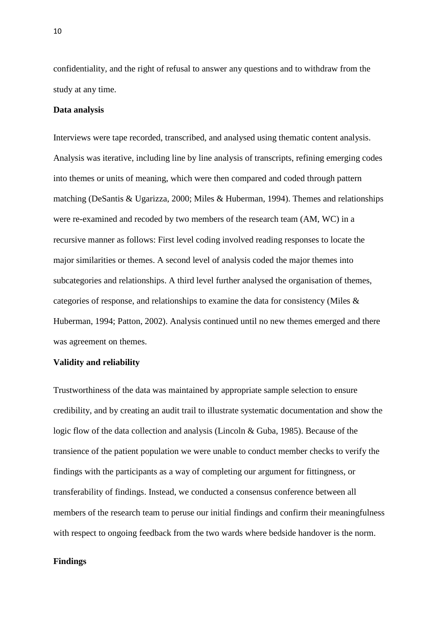confidentiality, and the right of refusal to answer any questions and to withdraw from the study at any time.

# **Data analysis**

Interviews were tape recorded, transcribed, and analysed using thematic content analysis. Analysis was iterative, including line by line analysis of transcripts, refining emerging codes into themes or units of meaning, which were then compared and coded through pattern matching (DeSantis & Ugarizza, 2000; Miles & Huberman, 1994). Themes and relationships were re-examined and recoded by two members of the research team (AM, WC) in a recursive manner as follows: First level coding involved reading responses to locate the major similarities or themes. A second level of analysis coded the major themes into subcategories and relationships. A third level further analysed the organisation of themes, categories of response, and relationships to examine the data for consistency (Miles & Huberman, 1994; Patton, 2002). Analysis continued until no new themes emerged and there was agreement on themes.

## **Validity and reliability**

Trustworthiness of the data was maintained by appropriate sample selection to ensure credibility, and by creating an audit trail to illustrate systematic documentation and show the logic flow of the data collection and analysis (Lincoln & Guba, 1985). Because of the transience of the patient population we were unable to conduct member checks to verify the findings with the participants as a way of completing our argument for fittingness, or transferability of findings. Instead, we conducted a consensus conference between all members of the research team to peruse our initial findings and confirm their meaningfulness with respect to ongoing feedback from the two wards where bedside handover is the norm.

# **Findings**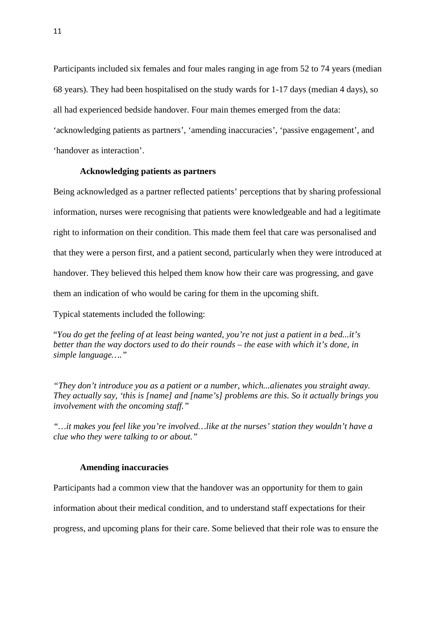Participants included six females and four males ranging in age from 52 to 74 years (median 68 years). They had been hospitalised on the study wards for 1-17 days (median 4 days), so all had experienced bedside handover. Four main themes emerged from the data: 'acknowledging patients as partners', 'amending inaccuracies', 'passive engagement', and 'handover as interaction'.

## **Acknowledging patients as partners**

Being acknowledged as a partner reflected patients' perceptions that by sharing professional information, nurses were recognising that patients were knowledgeable and had a legitimate right to information on their condition. This made them feel that care was personalised and that they were a person first, and a patient second, particularly when they were introduced at handover. They believed this helped them know how their care was progressing, and gave them an indication of who would be caring for them in the upcoming shift.

Typical statements included the following:

"*You do get the feeling of at least being wanted, you're not just a patient in a bed...it's better than the way doctors used to do their rounds – the ease with which it's done, in simple language…."*

*"They don't introduce you as a patient or a number, which...alienates you straight away. They actually say, 'this is [name] and [name's] problems are this. So it actually brings you involvement with the oncoming staff."*

*"…it makes you feel like you're involved…like at the nurses' station they wouldn't have a clue who they were talking to or about."*

## **Amending inaccuracies**

Participants had a common view that the handover was an opportunity for them to gain information about their medical condition, and to understand staff expectations for their progress, and upcoming plans for their care. Some believed that their role was to ensure the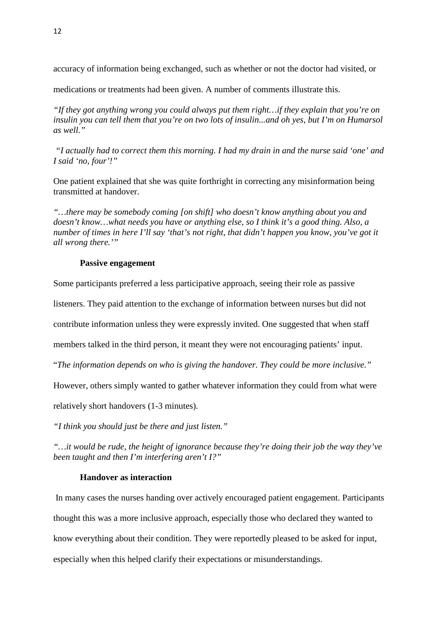accuracy of information being exchanged, such as whether or not the doctor had visited, or

medications or treatments had been given. A number of comments illustrate this.

*"If they got anything wrong you could always put them right…if they explain that you're on insulin you can tell them that you're on two lots of insulin...and oh yes, but I'm on Humarsol as well."*

*"I actually had to correct them this morning. I had my drain in and the nurse said 'one' and I said 'no, four'!"*

One patient explained that she was quite forthright in correcting any misinformation being transmitted at handover.

*"…there may be somebody coming [on shift] who doesn't know anything about you and doesn't know…what needs you have or anything else, so I think it's a good thing. Also, a number of times in here I'll say 'that's not right, that didn't happen you know, you've got it all wrong there.'"* 

## **Passive engagement**

Some participants preferred a less participative approach, seeing their role as passive

listeners. They paid attention to the exchange of information between nurses but did not

contribute information unless they were expressly invited. One suggested that when staff

members talked in the third person, it meant they were not encouraging patients' input.

"*The information depends on who is giving the handover. They could be more inclusive."*

However, others simply wanted to gather whatever information they could from what were

relatively short handovers (1-3 minutes).

*"I think you should just be there and just listen."*

*"…it would be rude, the height of ignorance because they're doing their job the way they've been taught and then I'm interfering aren't I?"*

# **Handover as interaction**

In many cases the nurses handing over actively encouraged patient engagement. Participants thought this was a more inclusive approach, especially those who declared they wanted to know everything about their condition. They were reportedly pleased to be asked for input, especially when this helped clarify their expectations or misunderstandings.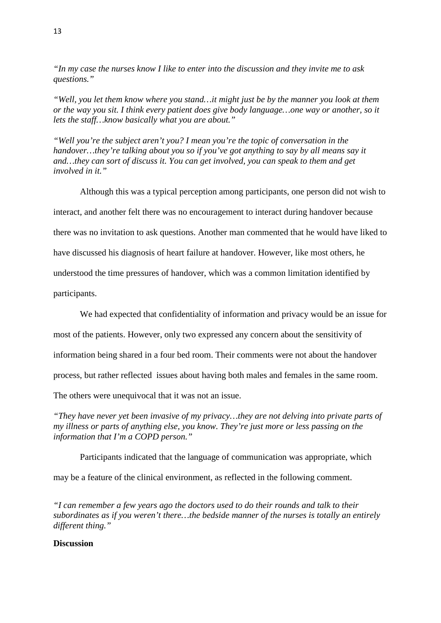*"In my case the nurses know I like to enter into the discussion and they invite me to ask questions."*

*"Well, you let them know where you stand…it might just be by the manner you look at them or the way you sit. I think every patient does give body language…one way or another, so it lets the staff…know basically what you are about."*

*"Well you're the subject aren't you? I mean you're the topic of conversation in the handover…they're talking about you so if you've got anything to say by all means say it and…they can sort of discuss it. You can get involved, you can speak to them and get involved in it."*

Although this was a typical perception among participants, one person did not wish to interact, and another felt there was no encouragement to interact during handover because there was no invitation to ask questions. Another man commented that he would have liked to have discussed his diagnosis of heart failure at handover. However, like most others, he understood the time pressures of handover, which was a common limitation identified by participants.

We had expected that confidentiality of information and privacy would be an issue for most of the patients. However, only two expressed any concern about the sensitivity of information being shared in a four bed room. Their comments were not about the handover process, but rather reflected issues about having both males and females in the same room.

The others were unequivocal that it was not an issue.

*"They have never yet been invasive of my privacy…they are not delving into private parts of my illness or parts of anything else, you know. They're just more or less passing on the information that I'm a COPD person."*

Participants indicated that the language of communication was appropriate, which may be a feature of the clinical environment, as reflected in the following comment.

*"I can remember a few years ago the doctors used to do their rounds and talk to their subordinates as if you weren't there…the bedside manner of the nurses is totally an entirely different thing."* 

# **Discussion**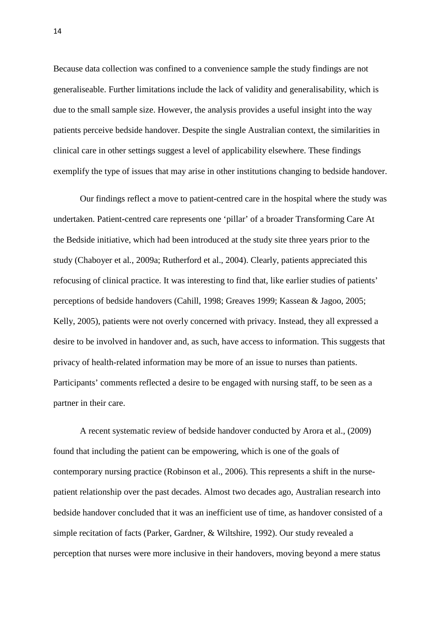Because data collection was confined to a convenience sample the study findings are not generaliseable. Further limitations include the lack of validity and generalisability, which is due to the small sample size. However, the analysis provides a useful insight into the way patients perceive bedside handover. Despite the single Australian context, the similarities in clinical care in other settings suggest a level of applicability elsewhere. These findings exemplify the type of issues that may arise in other institutions changing to bedside handover.

Our findings reflect a move to patient-centred care in the hospital where the study was undertaken. Patient-centred care represents one 'pillar' of a broader Transforming Care At the Bedside initiative, which had been introduced at the study site three years prior to the study (Chaboyer et al*.*, 2009a; Rutherford et al., 2004). Clearly, patients appreciated this refocusing of clinical practice. It was interesting to find that, like earlier studies of patients' perceptions of bedside handovers (Cahill, 1998; Greaves 1999; Kassean & Jagoo, 2005; Kelly, 2005), patients were not overly concerned with privacy. Instead, they all expressed a desire to be involved in handover and, as such, have access to information. This suggests that privacy of health-related information may be more of an issue to nurses than patients. Participants' comments reflected a desire to be engaged with nursing staff, to be seen as a partner in their care.

A recent systematic review of bedside handover conducted by Arora et al., (2009) found that including the patient can be empowering, which is one of the goals of contemporary nursing practice (Robinson et al., 2006). This represents a shift in the nursepatient relationship over the past decades. Almost two decades ago, Australian research into bedside handover concluded that it was an inefficient use of time, as handover consisted of a simple recitation of facts (Parker, Gardner, & Wiltshire, 1992). Our study revealed a perception that nurses were more inclusive in their handovers, moving beyond a mere status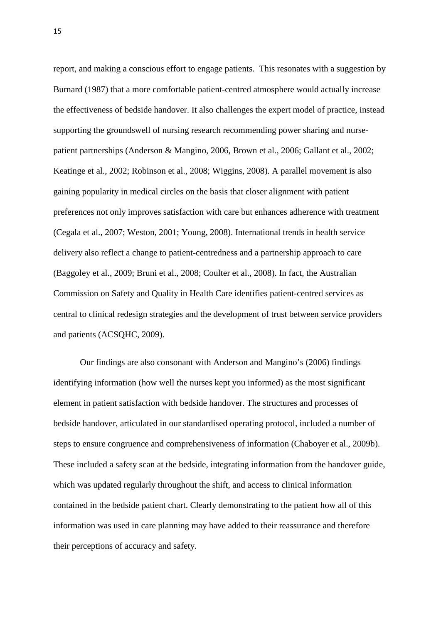report, and making a conscious effort to engage patients. This resonates with a suggestion by Burnard (1987) that a more comfortable patient-centred atmosphere would actually increase the effectiveness of bedside handover. It also challenges the expert model of practice, instead supporting the groundswell of nursing research recommending power sharing and nursepatient partnerships (Anderson & Mangino, 2006, Brown et al., 2006; Gallant et al., 2002; Keatinge et al., 2002; Robinson et al., 2008; Wiggins, 2008). A parallel movement is also gaining popularity in medical circles on the basis that closer alignment with patient preferences not only improves satisfaction with care but enhances adherence with treatment (Cegala et al., 2007; Weston, 2001; Young, 2008). International trends in health service delivery also reflect a change to patient-centredness and a partnership approach to care (Baggoley et al., 2009; Bruni et al., 2008; Coulter et al., 2008). In fact, the Australian Commission on Safety and Quality in Health Care identifies patient-centred services as central to clinical redesign strategies and the development of trust between service providers and patients (ACSQHC, 2009).

Our findings are also consonant with Anderson and Mangino's (2006) findings identifying information (how well the nurses kept you informed) as the most significant element in patient satisfaction with bedside handover. The structures and processes of bedside handover, articulated in our standardised operating protocol, included a number of steps to ensure congruence and comprehensiveness of information (Chaboyer et al., 2009b). These included a safety scan at the bedside, integrating information from the handover guide, which was updated regularly throughout the shift, and access to clinical information contained in the bedside patient chart. Clearly demonstrating to the patient how all of this information was used in care planning may have added to their reassurance and therefore their perceptions of accuracy and safety.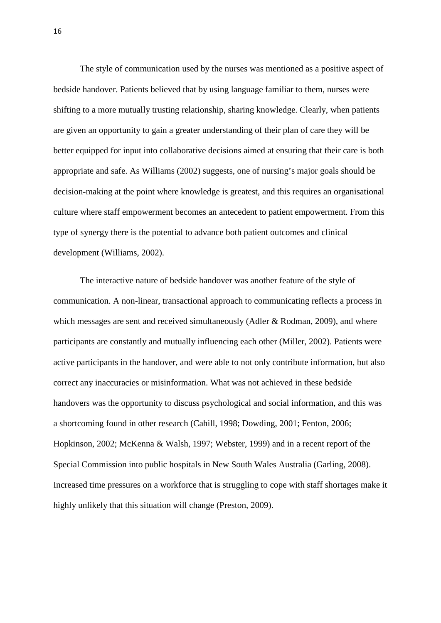The style of communication used by the nurses was mentioned as a positive aspect of bedside handover. Patients believed that by using language familiar to them, nurses were shifting to a more mutually trusting relationship, sharing knowledge. Clearly, when patients are given an opportunity to gain a greater understanding of their plan of care they will be better equipped for input into collaborative decisions aimed at ensuring that their care is both appropriate and safe. As Williams (2002) suggests, one of nursing's major goals should be decision-making at the point where knowledge is greatest, and this requires an organisational culture where staff empowerment becomes an antecedent to patient empowerment. From this type of synergy there is the potential to advance both patient outcomes and clinical development (Williams, 2002).

The interactive nature of bedside handover was another feature of the style of communication. A non-linear, transactional approach to communicating reflects a process in which messages are sent and received simultaneously (Adler & Rodman, 2009), and where participants are constantly and mutually influencing each other (Miller, 2002). Patients were active participants in the handover, and were able to not only contribute information, but also correct any inaccuracies or misinformation. What was not achieved in these bedside handovers was the opportunity to discuss psychological and social information, and this was a shortcoming found in other research (Cahill, 1998; Dowding, 2001; Fenton, 2006; Hopkinson, 2002; McKenna & Walsh, 1997; Webster, 1999) and in a recent report of the Special Commission into public hospitals in New South Wales Australia (Garling, 2008). Increased time pressures on a workforce that is struggling to cope with staff shortages make it highly unlikely that this situation will change (Preston, 2009).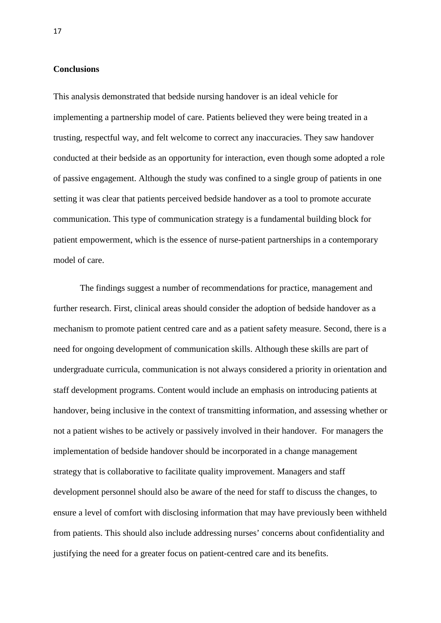# **Conclusions**

This analysis demonstrated that bedside nursing handover is an ideal vehicle for implementing a partnership model of care. Patients believed they were being treated in a trusting, respectful way, and felt welcome to correct any inaccuracies. They saw handover conducted at their bedside as an opportunity for interaction, even though some adopted a role of passive engagement. Although the study was confined to a single group of patients in one setting it was clear that patients perceived bedside handover as a tool to promote accurate communication. This type of communication strategy is a fundamental building block for patient empowerment, which is the essence of nurse-patient partnerships in a contemporary model of care.

The findings suggest a number of recommendations for practice, management and further research. First, clinical areas should consider the adoption of bedside handover as a mechanism to promote patient centred care and as a patient safety measure. Second, there is a need for ongoing development of communication skills. Although these skills are part of undergraduate curricula, communication is not always considered a priority in orientation and staff development programs. Content would include an emphasis on introducing patients at handover, being inclusive in the context of transmitting information, and assessing whether or not a patient wishes to be actively or passively involved in their handover. For managers the implementation of bedside handover should be incorporated in a change management strategy that is collaborative to facilitate quality improvement. Managers and staff development personnel should also be aware of the need for staff to discuss the changes, to ensure a level of comfort with disclosing information that may have previously been withheld from patients. This should also include addressing nurses' concerns about confidentiality and justifying the need for a greater focus on patient-centred care and its benefits.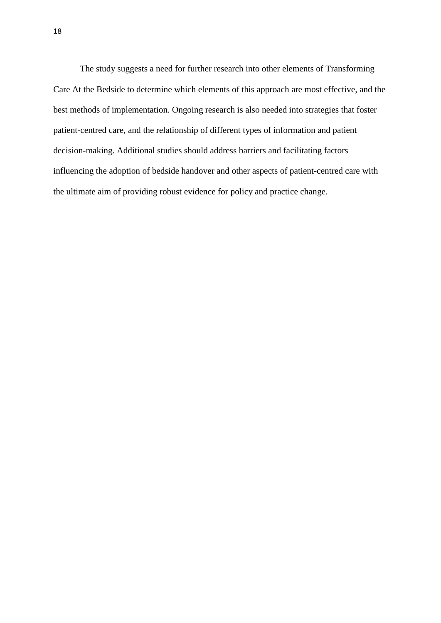The study suggests a need for further research into other elements of Transforming Care At the Bedside to determine which elements of this approach are most effective, and the best methods of implementation. Ongoing research is also needed into strategies that foster patient-centred care, and the relationship of different types of information and patient decision-making. Additional studies should address barriers and facilitating factors influencing the adoption of bedside handover and other aspects of patient-centred care with the ultimate aim of providing robust evidence for policy and practice change.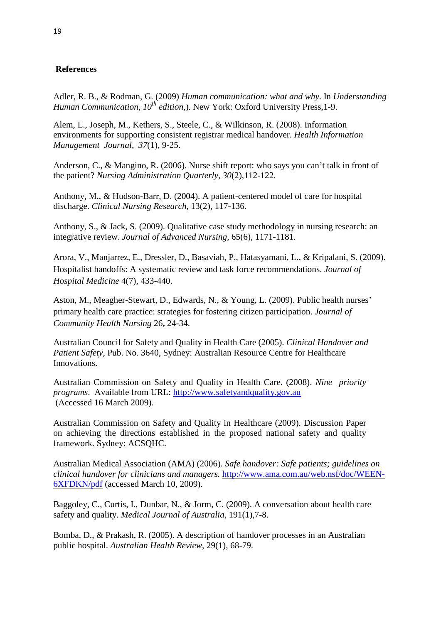# **References**

Adler, R. B., & Rodman, G. (2009) *Human communication: what and why*. In *Understanding Human Communication, 10<sup>th</sup> edition,*). New York: Oxford University Press, 1-9.

Alem, L., Joseph, M., Kethers, S., Steele, C., & Wilkinson, R. (2008). Information environments for supporting consistent registrar medical handover. *Health Information Management Journal, 37*(1), 9-25.

Anderson, C., & Mangino, R. (2006). Nurse shift report: who says you can't talk in front of the patient? *Nursing Administration Quarterly, 30*(2),112-122.

Anthony, M., & Hudson-Barr, D. (2004). A patient-centered model of care for hospital discharge. *Clinical Nursing Research*, 13(2), 117-136.

Anthony, S., & Jack, S. (2009). Qualitative case study methodology in nursing research: an integrative review. *Journal of Advanced Nursing,* 65(6), 1171-1181.

Arora, V., Manjarrez, E., Dressler, D., Basaviah, P., Hatasyamani, L., & Kripalani, S. (2009). Hospitalist handoffs: A systematic review and task force recommendations. *Journal of Hospital Medicine* 4(7), 433-440.

Aston, M., Meagher-Stewart, D., Edwards, N., & Young, L. (2009). Public health nurses' primary health care practice: strategies for fostering citizen participation. *Journal of Community Health Nursing* 26**,** 24-34.

Australian Council for Safety and Quality in Health Care (2005). *Clinical Handover and Patient Safety*, Pub. No. 3640, Sydney: Australian Resource Centre for Healthcare Innovations.

Australian Commission on Safety and Quality in Health Care. (2008). *Nine priority programs*. Available from URL: [http://www.safetyandquality.gov.au](http://www.safetyandquality.gov.au/) (Accessed 16 March 2009).

Australian Commission on Safety and Quality in Healthcare (2009). Discussion Paper on achieving the directions established in the proposed national safety and quality framework. Sydney: ACSQHC.

Australian Medical Association (AMA) (2006). *Safe handover: Safe patients; guidelines on clinical handover for clinicians and managers.* [http://www.ama.com.au/web.nsf/doc/WEEN-](http://www.ama.com.au/web.nsf/doc/WEEN-6XFDKN/pdf)[6XFDKN/pdf](http://www.ama.com.au/web.nsf/doc/WEEN-6XFDKN/pdf) (accessed March 10, 2009).

Baggoley, C., Curtis, I., Dunbar, N., & Jorm, C. (2009). A conversation about health care safety and quality. *Medical Journal of Australia,* 191(1),7-8.

Bomba, D., & Prakash, R. (2005). A description of handover processes in an Australian public hospital. *Australian Health Review,* 29(1), 68-79.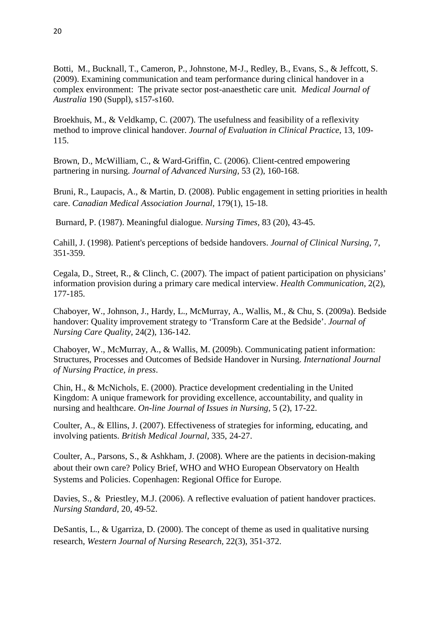Botti, M., Bucknall, T., Cameron, P., Johnstone, M-J., Redley, B., Evans, S., & Jeffcott, S. (2009). Examining communication and team performance during clinical handover in a complex environment: The private sector post-anaesthetic care unit*. Medical Journal of Australia* 190 (Suppl), s157-s160.

Broekhuis, M., & Veldkamp, C. (2007). The usefulness and feasibility of a reflexivity method to improve clinical handover. *Journal of Evaluation in Clinical Practice*, 13, 109- 115.

Brown, D., McWilliam, C., & Ward-Griffin, C. (2006). Client-centred empowering partnering in nursing. *Journal of Advanced Nursing,* 53 (2), 160-168.

Bruni, R., Laupacis, A., & Martin, D. (2008). Public engagement in setting priorities in health care. *Canadian Medical Association Journal,* 179(1), 15-18.

Burnard, P. (1987). Meaningful dialogue. *Nursing Times,* 83 (20), 43-45.

Cahill, J. (1998). Patient's perceptions of bedside handovers. *Journal of Clinical Nursing*, 7, 351-359.

Cegala, D., Street, R., & Clinch, C. (2007). The impact of patient participation on physicians' information provision during a primary care medical interview. *Health Communication*, 2(2), 177-185.

Chaboyer, W., Johnson, J., Hardy, L., McMurray, A., Wallis, M., & Chu, S. (2009a). Bedside handover: Quality improvement strategy to 'Transform Care at the Bedside'. *Journal of Nursing Care Quality,* 24(2), 136-142.

Chaboyer, W., McMurray, A., & Wallis, M. (2009b). Communicating patient information: Structures, Processes and Outcomes of Bedside Handover in Nursing. *International Journal of Nursing Practice, in press*.

Chin, H., & McNichols, E. (2000). Practice development credentialing in the United Kingdom: A unique framework for providing excellence, accountability, and quality in nursing and healthcare. *On-line Journal of Issues in Nursing,* 5 (2), 17-22.

Coulter, A., & Ellins, J. (2007). Effectiveness of strategies for informing, educating, and involving patients. *British Medical Journal,* 335, 24-27.

Coulter, A., Parsons, S., & Ashkham, J. (2008). Where are the patients in decision-making about their own care? Policy Brief, WHO and WHO European Observatory on Health Systems and Policies. Copenhagen: Regional Office for Europe.

Davies, S., & Priestley, M.J. (2006). A reflective evaluation of patient handover practices. *Nursing Standard,* 20, 49-52.

DeSantis, L., & Ugarriza, D. (2000). The concept of theme as used in qualitative nursing research, *Western Journal of Nursing Research,* 22(3), 351-372.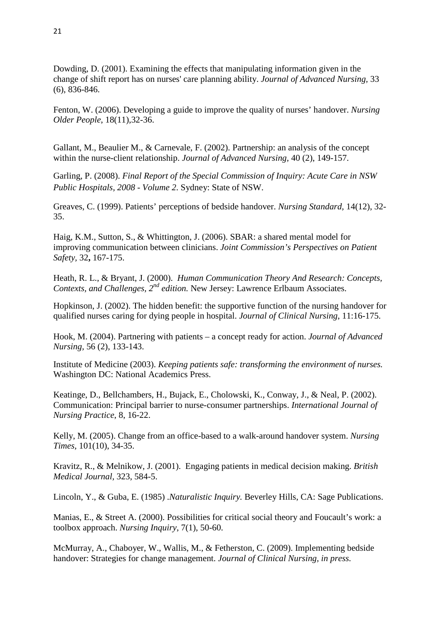Dowding, D. (2001). Examining the effects that manipulating information given in the change of shift report has on nurses' care planning ability. *Journal of Advanced Nursing,* 33 (6), 836-846.

Fenton, W. (2006). Developing a guide to improve the quality of nurses' handover. *Nursing Older People*, 18(11),32-36.

Gallant, M., Beaulier M., & Carnevale, F. (2002). Partnership: an analysis of the concept within the nurse-client relationship. *Journal of Advanced Nursing,* 40 (2), 149-157.

Garling, P. (2008). *Final Report of the Special Commission of Inquiry: Acute Care in NSW Public Hospitals, 2008 - Volume 2*. Sydney: State of NSW.

Greaves, C. (1999). Patients' perceptions of bedside handover. *Nursing Standard,* 14(12), 32- 35.

Haig, K.M., Sutton, S., & Whittington, J. (2006). SBAR: a shared mental model for improving communication between clinicians. *Joint Commission's Perspectives on Patient Safety,* 32**,** 167-175.

Heath, R. L., & Bryant, J. (2000). *Human Communication Theory And Research: Concepts, Contexts, and Challenges, 2nd edition.* New Jersey: Lawrence Erlbaum Associates.

Hopkinson, J. (2002). The hidden benefit: the supportive function of the nursing handover for qualified nurses caring for dying people in hospital. *Journal of Clinical Nursing*, 11:16-175.

Hook, M. (2004). Partnering with patients – a concept ready for action. *Journal of Advanced Nursing,* 56 (2), 133-143.

Institute of Medicine (2003). *Keeping patients safe: transforming the environment of nurses.*  Washington DC: National Academics Press.

Keatinge, D., Bellchambers, H., Bujack, E., Cholowski, K., Conway, J., & Neal, P. (2002). Communication: Principal barrier to nurse-consumer partnerships. *International Journal of Nursing Practice*, 8, 16-22.

Kelly, M. (2005). Change from an office-based to a walk-around handover system. *Nursing Times,* 101(10), 34-35.

Kravitz, R., & Melnikow, J. (2001). Engaging patients in medical decision making. *British Medical Journal,* 323, 584-5.

Lincoln, Y., & Guba, E. (1985) .*Naturalistic Inquiry.* Beverley Hills, CA: Sage Publications.

Manias, E., & Street A. (2000). Possibilities for critical social theory and Foucault's work: a toolbox approach. *Nursing Inquiry*, 7(1), 50-60.

McMurray, A., Chaboyer, W., Wallis, M., & Fetherston, C. (2009). Implementing bedside handover: Strategies for change management. *Journal of Clinical Nursing, in press.*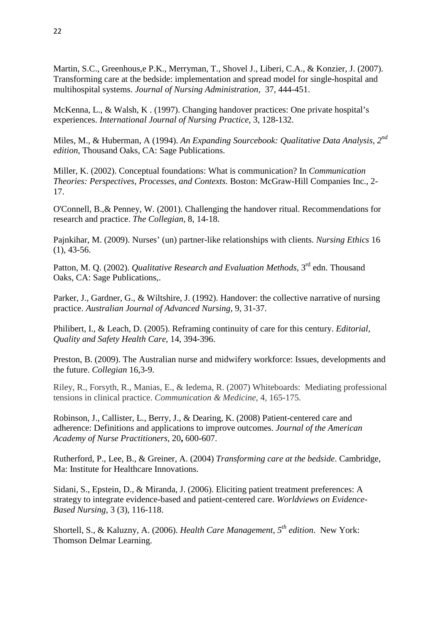Martin, S.C., Greenhous,e P.K., Merryman, T., Shovel J., Liberi, C.A., & Konzier, J. (2007). Transforming care at the bedside: implementation and spread model for single-hospital and multihospital systems. *Journal of Nursing Administration,* 37, 444-451.

McKenna, L., & Walsh, K . (1997). Changing handover practices: One private hospital's experiences. *International Journal of Nursing Practice*, 3, 128-132.

Miles, M., & Huberman, A (1994). *An Expanding Sourcebook: Qualitative Data Analysis, 2nd edition,* Thousand Oaks, CA: Sage Publications.

Miller, K. (2002). Conceptual foundations: What is communication? In *Communication Theories: Perspectives, Processes, and Contexts*. Boston: McGraw-Hill Companies Inc., 2- 17.

O'Connell, B.,& Penney, W. (2001). Challenging the handover ritual. Recommendations for research and practice. *The Collegian,* 8, 14-18.

Pajnkihar, M. (2009). Nurses' (un) partner-like relationships with clients. *Nursing Ethics* 16 (1), 43-56.

Patton, M. Q. (2002). *Qualitative Research and Evaluation Methods*, 3<sup>rd</sup> edn. Thousand Oaks, CA: Sage Publications,.

Parker, J., Gardner, G., & Wiltshire, J. (1992). Handover: the collective narrative of nursing practice. *Australian Journal of Advanced Nursing,* 9, 31-37.

Philibert, I., & Leach, D. (2005). Reframing continuity of care for this century. *Editorial, Quality and Safety Health Care,* 14, 394-396.

Preston, B. (2009). The Australian nurse and midwifery workforce: Issues, developments and the future. *Collegian* 16,3-9.

Riley, R., Forsyth, R., Manias, E., & Iedema, R. (2007) Whiteboards: Mediating professional tensions in clinical practice. *Communication & Medicine*, 4, 165-175.

Robinson, J., Callister, L., Berry, J., & Dearing, K. (2008) Patient-centered care and adherence: Definitions and applications to improve outcomes. *Journal of the American Academy of Nurse Practitioners,* 20**,** 600-607.

Rutherford, P., Lee, B., & Greiner, A. (2004) *Transforming care at the bedside*. Cambridge, Ma: Institute for Healthcare Innovations.

Sidani, S., Epstein, D., & Miranda, J. (2006). Eliciting patient treatment preferences: A strategy to integrate evidence-based and patient-centered care. *Worldviews on Evidence-Based Nursing*, 3 (3), 116-118.

Shortell, S., & Kaluzny, A. (2006). *Health Care Management, 5th edition*. New York: Thomson Delmar Learning.